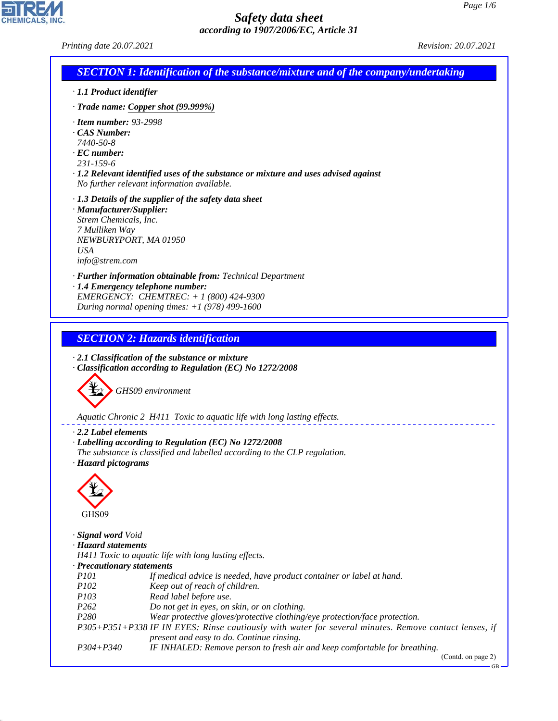| <b>SECTION 1: Identification of the substance/mixture and of the company/undertaking</b><br>$\cdot$ 1.1 Product identifier<br>$\cdot$ Trade name: Copper shot (99.999%)<br>$\cdot$ Item number: 93-2998<br>CAS Number:<br>7440-50-8<br>$\cdot$ EC number:<br>231-159-6<br>$\cdot$ 1.2 Relevant identified uses of the substance or mixture and uses advised against<br>No further relevant information available.<br>· 1.3 Details of the supplier of the safety data sheet<br>· Manufacturer/Supplier:<br>Strem Chemicals, Inc.<br>7 Mulliken Way<br>NEWBURYPORT, MA 01950<br><b>USA</b><br>info@strem.com<br>· Further information obtainable from: Technical Department<br>· 1.4 Emergency telephone number:<br>EMERGENCY: CHEMTREC: + 1 (800) 424-9300<br>During normal opening times: $+1$ (978) 499-1600<br><b>SECTION 2: Hazards identification</b><br>$\cdot$ 2.1 Classification of the substance or mixture<br>Classification according to Regulation (EC) No 1272/2008<br>GHS09 environment<br>Aquatic Chronic 2 H411 Toxic to aquatic life with long lasting effects.<br>2.2 Label elements<br>· Labelling according to Regulation (EC) No 1272/2008<br>The substance is classified and labelled according to the CLP regulation.<br>· Hazard pictograms<br>GHS09<br>· Signal word Void<br>· Hazard statements<br>H411 Toxic to aquatic life with long lasting effects.<br>· Precautionary statements<br><i>P101</i><br>If medical advice is needed, have product container or label at hand.<br>P102<br>Keep out of reach of children.<br>P103<br>Read label before use.<br>P262<br>Do not get in eyes, on skin, or on clothing.<br>P280<br>Wear protective gloves/protective clothing/eye protection/face protection.<br>P305+P351+P338 IF IN EYES: Rinse cautiously with water for several minutes. Remove contact lenses, if<br>present and easy to do. Continue rinsing.<br>$P304 + P340$<br>IF INHALED: Remove person to fresh air and keep comfortable for breathing.<br>(Contd. on page 2)<br>$GB -$ | Printing date 20.07.2021 | Revision: 20.07.2021 |
|-------------------------------------------------------------------------------------------------------------------------------------------------------------------------------------------------------------------------------------------------------------------------------------------------------------------------------------------------------------------------------------------------------------------------------------------------------------------------------------------------------------------------------------------------------------------------------------------------------------------------------------------------------------------------------------------------------------------------------------------------------------------------------------------------------------------------------------------------------------------------------------------------------------------------------------------------------------------------------------------------------------------------------------------------------------------------------------------------------------------------------------------------------------------------------------------------------------------------------------------------------------------------------------------------------------------------------------------------------------------------------------------------------------------------------------------------------------------------------------------------------------------------------------------------------------------------------------------------------------------------------------------------------------------------------------------------------------------------------------------------------------------------------------------------------------------------------------------------------------------------------------------------------------------------------------------------------------------------------------------------------------------------|--------------------------|----------------------|
|                                                                                                                                                                                                                                                                                                                                                                                                                                                                                                                                                                                                                                                                                                                                                                                                                                                                                                                                                                                                                                                                                                                                                                                                                                                                                                                                                                                                                                                                                                                                                                                                                                                                                                                                                                                                                                                                                                                                                                                                                         |                          |                      |
|                                                                                                                                                                                                                                                                                                                                                                                                                                                                                                                                                                                                                                                                                                                                                                                                                                                                                                                                                                                                                                                                                                                                                                                                                                                                                                                                                                                                                                                                                                                                                                                                                                                                                                                                                                                                                                                                                                                                                                                                                         |                          |                      |
|                                                                                                                                                                                                                                                                                                                                                                                                                                                                                                                                                                                                                                                                                                                                                                                                                                                                                                                                                                                                                                                                                                                                                                                                                                                                                                                                                                                                                                                                                                                                                                                                                                                                                                                                                                                                                                                                                                                                                                                                                         |                          |                      |
|                                                                                                                                                                                                                                                                                                                                                                                                                                                                                                                                                                                                                                                                                                                                                                                                                                                                                                                                                                                                                                                                                                                                                                                                                                                                                                                                                                                                                                                                                                                                                                                                                                                                                                                                                                                                                                                                                                                                                                                                                         |                          |                      |
|                                                                                                                                                                                                                                                                                                                                                                                                                                                                                                                                                                                                                                                                                                                                                                                                                                                                                                                                                                                                                                                                                                                                                                                                                                                                                                                                                                                                                                                                                                                                                                                                                                                                                                                                                                                                                                                                                                                                                                                                                         |                          |                      |
|                                                                                                                                                                                                                                                                                                                                                                                                                                                                                                                                                                                                                                                                                                                                                                                                                                                                                                                                                                                                                                                                                                                                                                                                                                                                                                                                                                                                                                                                                                                                                                                                                                                                                                                                                                                                                                                                                                                                                                                                                         |                          |                      |
|                                                                                                                                                                                                                                                                                                                                                                                                                                                                                                                                                                                                                                                                                                                                                                                                                                                                                                                                                                                                                                                                                                                                                                                                                                                                                                                                                                                                                                                                                                                                                                                                                                                                                                                                                                                                                                                                                                                                                                                                                         |                          |                      |
|                                                                                                                                                                                                                                                                                                                                                                                                                                                                                                                                                                                                                                                                                                                                                                                                                                                                                                                                                                                                                                                                                                                                                                                                                                                                                                                                                                                                                                                                                                                                                                                                                                                                                                                                                                                                                                                                                                                                                                                                                         |                          |                      |
|                                                                                                                                                                                                                                                                                                                                                                                                                                                                                                                                                                                                                                                                                                                                                                                                                                                                                                                                                                                                                                                                                                                                                                                                                                                                                                                                                                                                                                                                                                                                                                                                                                                                                                                                                                                                                                                                                                                                                                                                                         |                          |                      |
|                                                                                                                                                                                                                                                                                                                                                                                                                                                                                                                                                                                                                                                                                                                                                                                                                                                                                                                                                                                                                                                                                                                                                                                                                                                                                                                                                                                                                                                                                                                                                                                                                                                                                                                                                                                                                                                                                                                                                                                                                         |                          |                      |
|                                                                                                                                                                                                                                                                                                                                                                                                                                                                                                                                                                                                                                                                                                                                                                                                                                                                                                                                                                                                                                                                                                                                                                                                                                                                                                                                                                                                                                                                                                                                                                                                                                                                                                                                                                                                                                                                                                                                                                                                                         |                          |                      |
|                                                                                                                                                                                                                                                                                                                                                                                                                                                                                                                                                                                                                                                                                                                                                                                                                                                                                                                                                                                                                                                                                                                                                                                                                                                                                                                                                                                                                                                                                                                                                                                                                                                                                                                                                                                                                                                                                                                                                                                                                         |                          |                      |
|                                                                                                                                                                                                                                                                                                                                                                                                                                                                                                                                                                                                                                                                                                                                                                                                                                                                                                                                                                                                                                                                                                                                                                                                                                                                                                                                                                                                                                                                                                                                                                                                                                                                                                                                                                                                                                                                                                                                                                                                                         |                          |                      |

44.1.1

CHEMICALS, INC.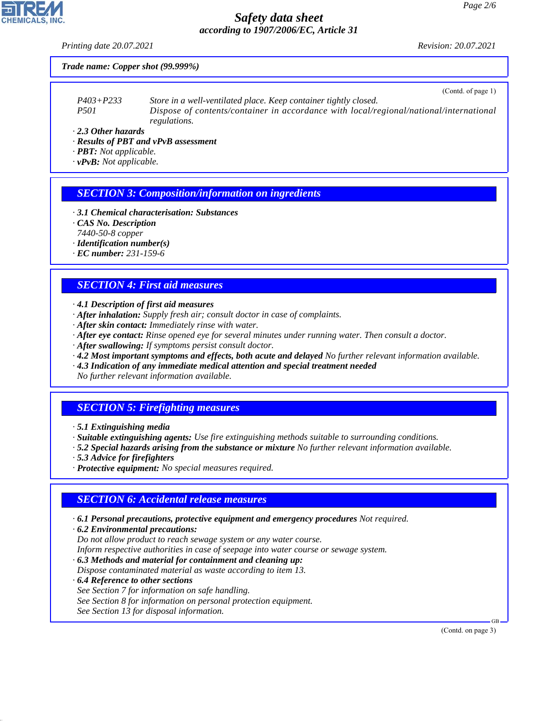*Printing date 20.07.2021 Revision: 20.07.2021*

 $(C_{\text{out}}d, \text{of } \text{meas } 1)$ 

#### *Trade name: Copper shot (99.999%)*

|               | $\sqrt{2}$ (Collius of page 1)                                                         |
|---------------|----------------------------------------------------------------------------------------|
| $P403 + P233$ | Store in a well-ventilated place. Keep container tightly closed.                       |
| <i>P501</i>   | Dispose of contents/container in accordance with local/regional/national/international |
|               | <i>regulations.</i>                                                                    |

*· 2.3 Other hazards*

- *· Results of PBT and vPvB assessment*
- *· PBT: Not applicable.*

*· vPvB: Not applicable.*

## *SECTION 3: Composition/information on ingredients*

- *· 3.1 Chemical characterisation: Substances*
- *· CAS No. Description*
- *7440-50-8 copper*
- *· Identification number(s)*
- *· EC number: 231-159-6*

## *SECTION 4: First aid measures*

- *· 4.1 Description of first aid measures*
- *· After inhalation: Supply fresh air; consult doctor in case of complaints.*
- *· After skin contact: Immediately rinse with water.*
- *· After eye contact: Rinse opened eye for several minutes under running water. Then consult a doctor.*
- *· After swallowing: If symptoms persist consult doctor.*
- *· 4.2 Most important symptoms and effects, both acute and delayed No further relevant information available.*
- *· 4.3 Indication of any immediate medical attention and special treatment needed*

*No further relevant information available.*

# *SECTION 5: Firefighting measures*

- *· 5.1 Extinguishing media*
- *· Suitable extinguishing agents: Use fire extinguishing methods suitable to surrounding conditions.*
- *· 5.2 Special hazards arising from the substance or mixture No further relevant information available.*
- *· 5.3 Advice for firefighters*
- *· Protective equipment: No special measures required.*

## *SECTION 6: Accidental release measures*

- *· 6.1 Personal precautions, protective equipment and emergency procedures Not required.*
- *· 6.2 Environmental precautions: Do not allow product to reach sewage system or any water course. Inform respective authorities in case of seepage into water course or sewage system.*
- *· 6.3 Methods and material for containment and cleaning up:*
- *Dispose contaminated material as waste according to item 13.*
- *· 6.4 Reference to other sections*

44.1.1

- *See Section 7 for information on safe handling.*
- *See Section 8 for information on personal protection equipment.*
- *See Section 13 for disposal information.*

(Contd. on page 3)

GB

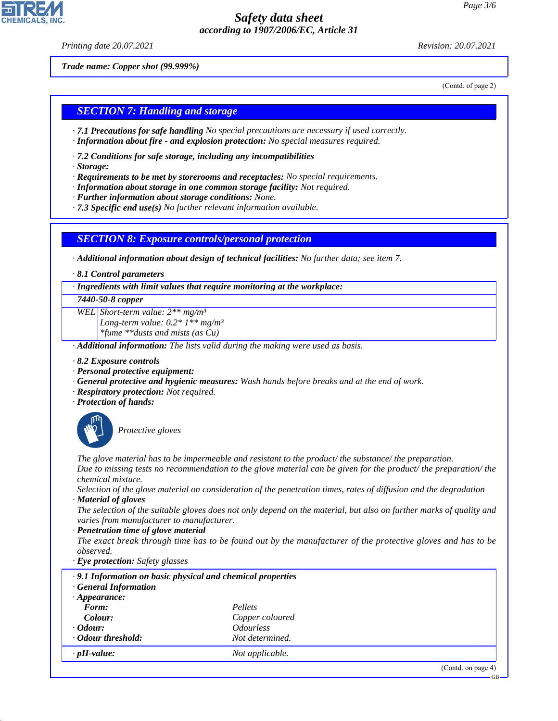*Printing date 20.07.2021 Revision: 20.07.2021*

*Trade name: Copper shot (99.999%)*

(Contd. of page 2)

### *SECTION 7: Handling and storage*

- *· 7.1 Precautions for safe handling No special precautions are necessary if used correctly.*
- *· Information about fire and explosion protection: No special measures required.*
- *· 7.2 Conditions for safe storage, including any incompatibilities*
- *· Storage:*
- *· Requirements to be met by storerooms and receptacles: No special requirements.*
- *· Information about storage in one common storage facility: Not required.*
- *· Further information about storage conditions: None.*
- *· 7.3 Specific end use(s) No further relevant information available.*

### *SECTION 8: Exposure controls/personal protection*

*· Additional information about design of technical facilities: No further data; see item 7.*

*· 8.1 Control parameters*

*· Ingredients with limit values that require monitoring at the workplace:*

#### *7440-50-8 copper*

*WEL Short-term value: 2\*\* mg/m³ Long-term value: 0.2\* 1\*\* mg/m³ \*fume \*\*dusts and mists (as Cu)*

*· Additional information: The lists valid during the making were used as basis.*

- *· 8.2 Exposure controls*
- *· Personal protective equipment:*
- *· General protective and hygienic measures: Wash hands before breaks and at the end of work.*
- *· Respiratory protection: Not required.*
- *· Protection of hands:*



44.1.1

\_S*Protective gloves*

*The glove material has to be impermeable and resistant to the product/ the substance/ the preparation. Due to missing tests no recommendation to the glove material can be given for the product/ the preparation/ the chemical mixture.*

*Selection of the glove material on consideration of the penetration times, rates of diffusion and the degradation*

*· Material of gloves*

*The selection of the suitable gloves does not only depend on the material, but also on further marks of quality and varies from manufacturer to manufacturer.*

*· Penetration time of glove material*

*The exact break through time has to be found out by the manufacturer of the protective gloves and has to be observed.*

*· Eye protection: Safety glasses*

| .9.1 Information on basic physical and chemical properties<br><b>General Information</b> |                                |                       |
|------------------------------------------------------------------------------------------|--------------------------------|-----------------------|
| $\cdot$ Appearance:                                                                      |                                |                       |
| Form:                                                                                    | Pellets                        |                       |
| Colour:                                                                                  | Copper coloured                |                       |
| $\cdot$ Odour:                                                                           | <i><u><b>Odourless</b></u></i> |                       |
| Odour threshold:                                                                         | Not determined.                |                       |
| $\cdot$ pH-value:                                                                        | Not applicable.                |                       |
|                                                                                          |                                | $(C_{2}+1)$ and $(3)$ |

GB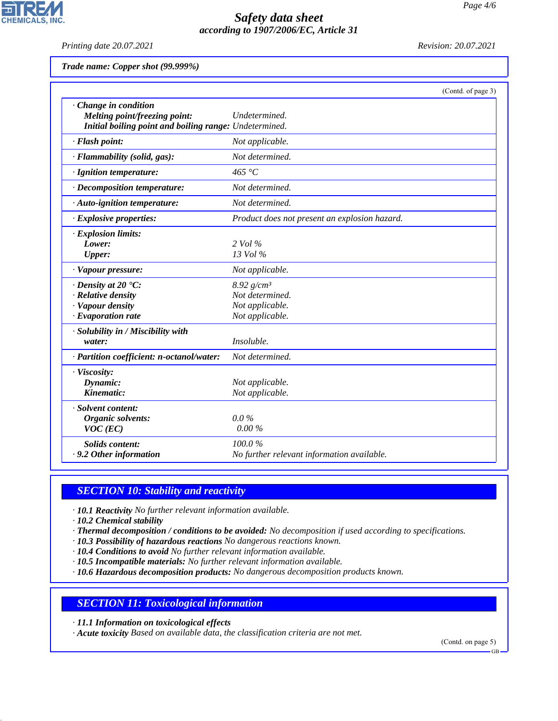*Printing date 20.07.2021 Revision: 20.07.2021*

**CHEMICALS, INC.** 

| Trade name: Copper shot (99.999%) |  |  |  |  |
|-----------------------------------|--|--|--|--|
|-----------------------------------|--|--|--|--|

|                                                                                                                | (Contd. of page 3)                                                     |
|----------------------------------------------------------------------------------------------------------------|------------------------------------------------------------------------|
| Change in condition<br>Melting point/freezing point:<br>Initial boiling point and boiling range: Undetermined. | Undetermined.                                                          |
| · Flash point:                                                                                                 | Not applicable.                                                        |
| · Flammability (solid, gas):                                                                                   | Not determined.                                                        |
| · Ignition temperature:                                                                                        | 465 $\degree$ C                                                        |
| · Decomposition temperature:                                                                                   | Not determined.                                                        |
| · Auto-ignition temperature:                                                                                   | Not determined.                                                        |
| · Explosive properties:                                                                                        | Product does not present an explosion hazard.                          |
| · Explosion limits:<br>Lower:<br><b>Upper:</b>                                                                 | $2$ Vol $\%$<br>$13$ Vol $\%$                                          |
| · Vapour pressure:                                                                                             | Not applicable.                                                        |
| $\cdot$ Density at 20 $\textdegree$ C:<br>· Relative density<br>· Vapour density<br>$\cdot$ Evaporation rate   | 8.92 $g/cm^3$<br>Not determined.<br>Not applicable.<br>Not applicable. |
| · Solubility in / Miscibility with<br>water:                                                                   | Insoluble.                                                             |
| · Partition coefficient: n-octanol/water:                                                                      | Not determined.                                                        |
| · Viscosity:<br>Dynamic:<br>Kinematic:                                                                         | Not applicable.<br>Not applicable.                                     |
| · Solvent content:<br>Organic solvents:<br>$VOC$ (EC)                                                          | $0.0\%$<br>0.00%                                                       |
| <b>Solids content:</b><br>· 9.2 Other information                                                              | 100.0%<br>No further relevant information available.                   |

# *SECTION 10: Stability and reactivity*

*· 10.1 Reactivity No further relevant information available.*

*· 10.2 Chemical stability*

44.1.1

- *· Thermal decomposition / conditions to be avoided: No decomposition if used according to specifications.*
- *· 10.3 Possibility of hazardous reactions No dangerous reactions known.*
- *· 10.4 Conditions to avoid No further relevant information available.*
- *· 10.5 Incompatible materials: No further relevant information available.*
- *· 10.6 Hazardous decomposition products: No dangerous decomposition products known.*

## *SECTION 11: Toxicological information*

*· 11.1 Information on toxicological effects*

*· Acute toxicity Based on available data, the classification criteria are not met.*

(Contd. on page 5)

GB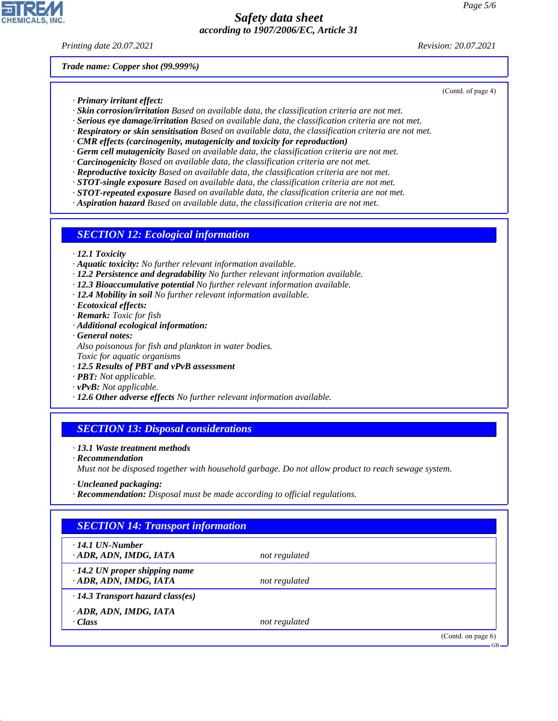*Printing date 20.07.2021 Revision: 20.07.2021*

(Contd. of page 4)

*Trade name: Copper shot (99.999%)*

- *· Primary irritant effect:*
- *· Skin corrosion/irritation Based on available data, the classification criteria are not met.*
- *· Serious eye damage/irritation Based on available data, the classification criteria are not met.*
- *· Respiratory or skin sensitisation Based on available data, the classification criteria are not met.*
- *· CMR effects (carcinogenity, mutagenicity and toxicity for reproduction)*
- *· Germ cell mutagenicity Based on available data, the classification criteria are not met.*
- *· Carcinogenicity Based on available data, the classification criteria are not met.*
- *· Reproductive toxicity Based on available data, the classification criteria are not met.*
- *· STOT-single exposure Based on available data, the classification criteria are not met.*
- *· STOT-repeated exposure Based on available data, the classification criteria are not met.*
- *· Aspiration hazard Based on available data, the classification criteria are not met.*

## *SECTION 12: Ecological information*

- *· 12.1 Toxicity*
- *· Aquatic toxicity: No further relevant information available.*
- *· 12.2 Persistence and degradability No further relevant information available.*
- *· 12.3 Bioaccumulative potential No further relevant information available.*
- *· 12.4 Mobility in soil No further relevant information available.*
- *· Ecotoxical effects:*
- *· Remark: Toxic for fish*
- *· Additional ecological information:*
- *· General notes: Also poisonous for fish and plankton in water bodies. Toxic for aquatic organisms*
- *· 12.5 Results of PBT and vPvB assessment*
- *· PBT: Not applicable.*
- *· vPvB: Not applicable.*
- *· 12.6 Other adverse effects No further relevant information available.*

## *SECTION 13: Disposal considerations*

- *· 13.1 Waste treatment methods*
- *· Recommendation*

44.1.1

*Must not be disposed together with household garbage. Do not allow product to reach sewage system.*

- *· Uncleaned packaging:*
- *· Recommendation: Disposal must be made according to official regulations.*

# *SECTION 14: Transport information · 14.1 UN-Number · ADR, ADN, IMDG, IATA not regulated · 14.2 UN proper shipping name · ADR, ADN, IMDG, IATA not regulated · 14.3 Transport hazard class(es) · ADR, ADN, IMDG, IATA · Class not regulated* (Contd. on page 6) GB